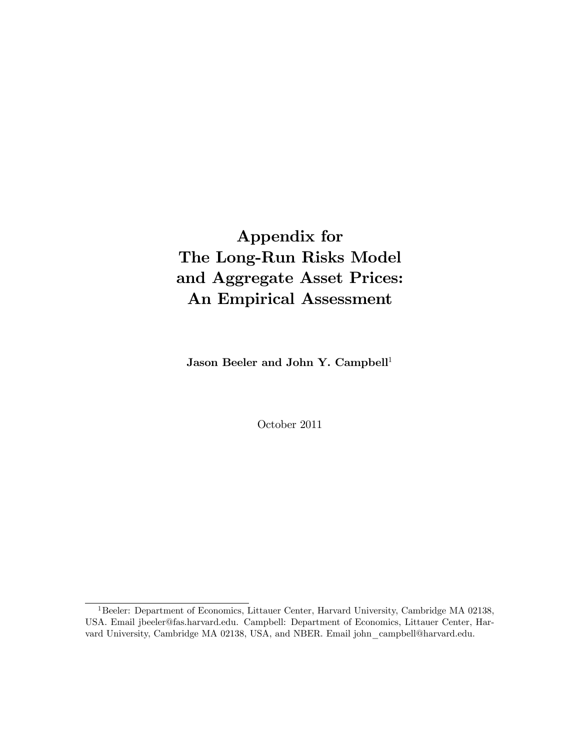# Appendix for The Long-Run Risks Model and Aggregate Asset Prices: An Empirical Assessment

Jason Beeler and John Y. Campbell<sup>1</sup>

October 2011

<sup>&</sup>lt;sup>1</sup>Beeler: Department of Economics, Littauer Center, Harvard University, Cambridge MA 02138, USA. Email jbeeler@fas.harvard.edu. Campbell: Department of Economics, Littauer Center, Harvard University, Cambridge MA 02138, USA, and NBER. Email john\_campbell@harvard.edu.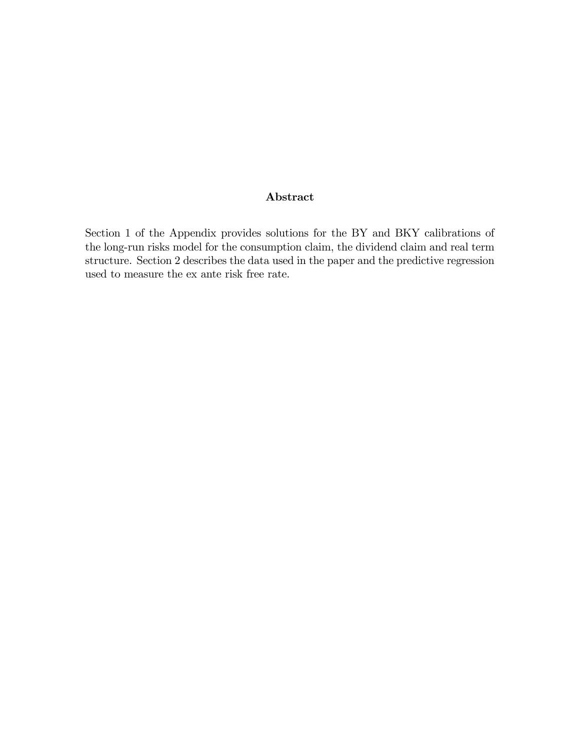#### Abstract

Section 1 of the Appendix provides solutions for the BY and BKY calibrations of the long-run risks model for the consumption claim, the dividend claim and real term structure. Section 2 describes the data used in the paper and the predictive regression used to measure the ex ante risk free rate.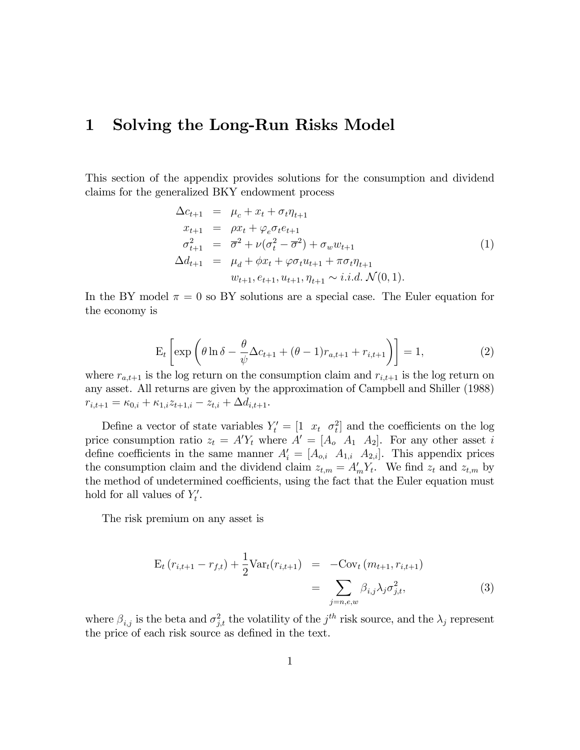# 1 Solving the Long-Run Risks Model

This section of the appendix provides solutions for the consumption and dividend claims for the generalized BKY endowment process

$$
\Delta c_{t+1} = \mu_c + x_t + \sigma_t \eta_{t+1} \nx_{t+1} = \rho x_t + \varphi_e \sigma_t e_{t+1} \n\sigma_{t+1}^2 = \overline{\sigma}^2 + \nu (\sigma_t^2 - \overline{\sigma}^2) + \sigma_w w_{t+1} \n\Delta d_{t+1} = \mu_d + \phi x_t + \varphi \sigma_t u_{t+1} + \pi \sigma_t \eta_{t+1} \nw_{t+1}, e_{t+1}, u_{t+1}, \eta_{t+1} \sim i.i.d. \mathcal{N}(0, 1).
$$
\n(1)

In the BY model  $\pi = 0$  so BY solutions are a special case. The Euler equation for the economy is

$$
E_t\left[\exp\left(\theta\ln\delta - \frac{\theta}{\psi}\Delta c_{t+1} + (\theta - 1)r_{a,t+1} + r_{i,t+1}\right)\right] = 1,\tag{2}
$$

where  $r_{a,t+1}$  is the log return on the consumption claim and  $r_{i,t+1}$  is the log return on any asset. All returns are given by the approximation of Campbell and Shiller (1988)  $r_{i,t+1} = \kappa_{0,i} + \kappa_{1,i} z_{t+1,i} - z_{t,i} + \Delta d_{i,t+1}.$ 

Define a vector of state variables  $Y_t' = \begin{bmatrix} 1 & x_t & \sigma_t^2 \end{bmatrix}$  and the coefficients on the log price consumption ratio  $z_t = A'Y_t$  where  $A' = [A_0 \ A_1 \ A_2]$ . For any other asset i define coefficients in the same manner  $A'_{i} = [A_{o,i} \ A_{1,i} \ A_{2,i}]$ . This appendix prices the consumption claim and the dividend claim  $z_{t,m} = A'_m Y_t$ . We find  $z_t$  and  $z_{t,m}$  by the method of undetermined coefficients, using the fact that the Euler equation must hold for all values of  $Y'_t$ .

The risk premium on any asset is

$$
E_t (r_{i,t+1} - r_{f,t}) + \frac{1}{2} \text{Var}_t(r_{i,t+1}) = -\text{Cov}_t (m_{t+1}, r_{i,t+1})
$$
  
= 
$$
\sum_{j=n,e,w} \beta_{i,j} \lambda_j \sigma_{j,t}^2,
$$
 (3)

where  $\beta_{i,j}$  is the beta and  $\sigma_{j,t}^2$  the volatility of the  $j^{th}$  risk source, and the  $\lambda_j$  represent the price of each risk source as defined in the text.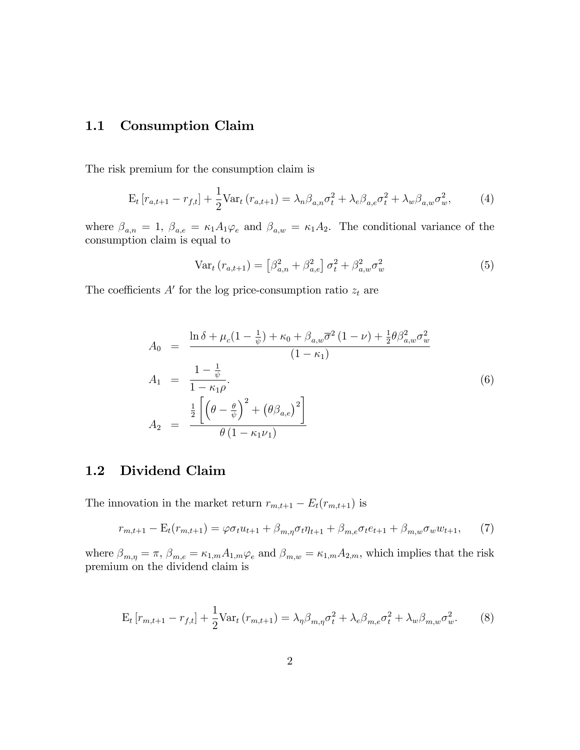# 1.1 Consumption Claim

The risk premium for the consumption claim is

$$
\mathbf{E}_{t}\left[r_{a,t+1}-r_{f,t}\right]+\frac{1}{2}\text{Var}_{t}\left(r_{a,t+1}\right)=\lambda_{n}\beta_{a,n}\sigma_{t}^{2}+\lambda_{e}\beta_{a,e}\sigma_{t}^{2}+\lambda_{w}\beta_{a,w}\sigma_{w}^{2},\qquad(4)
$$

where  $\beta_{a,n} = 1$ ,  $\beta_{a,e} = \kappa_1 A_1 \varphi_e$  and  $\beta_{a,w} = \kappa_1 A_2$ . The conditional variance of the consumption claim is equal to

$$
\text{Var}_{t} \left( r_{a,t+1} \right) = \left[ \beta_{a,n}^{2} + \beta_{a,e}^{2} \right] \sigma_{t}^{2} + \beta_{a,w}^{2} \sigma_{w}^{2} \tag{5}
$$

The coefficients  $A'$  for the log price-consumption ratio  $z_t$  are

$$
A_0 = \frac{\ln \delta + \mu_c (1 - \frac{1}{\psi}) + \kappa_0 + \beta_{a,w} \overline{\sigma}^2 (1 - \nu) + \frac{1}{2} \theta \beta_{a,w}^2 \sigma_w^2}{(1 - \kappa_1)}
$$
  
\n
$$
A_1 = \frac{1 - \frac{1}{\psi}}{1 - \kappa_1 \rho}.
$$
  
\n
$$
A_2 = \frac{\frac{1}{2} \left[ \left( \theta - \frac{\theta}{\psi} \right)^2 + \left( \theta \beta_{a,e} \right)^2 \right]}{\theta (1 - \kappa_1 \nu_1)}
$$
\n(6)

# 1.2 Dividend Claim

The innovation in the market return  $r_{m,t+1} - E_t(r_{m,t+1})$  is

$$
r_{m,t+1} - \mathcal{E}_t(r_{m,t+1}) = \varphi \sigma_t u_{t+1} + \beta_{m,\eta} \sigma_t \eta_{t+1} + \beta_{m,e} \sigma_t e_{t+1} + \beta_{m,w} \sigma_w w_{t+1}, \tag{7}
$$

where  $\beta_{m,\eta} = \pi$ ,  $\beta_{m,e} = \kappa_{1,m} A_{1,m} \varphi_e$  and  $\beta_{m,w} = \kappa_{1,m} A_{2,m}$ , which implies that the risk premium on the dividend claim is

$$
\mathbf{E}_{t}\left[r_{m,t+1}-r_{f,t}\right]+\frac{1}{2}\text{Var}_{t}\left(r_{m,t+1}\right)=\lambda_{\eta}\beta_{m,\eta}\sigma_{t}^{2}+\lambda_{e}\beta_{m,e}\sigma_{t}^{2}+\lambda_{w}\beta_{m,w}\sigma_{w}^{2}.
$$
 (8)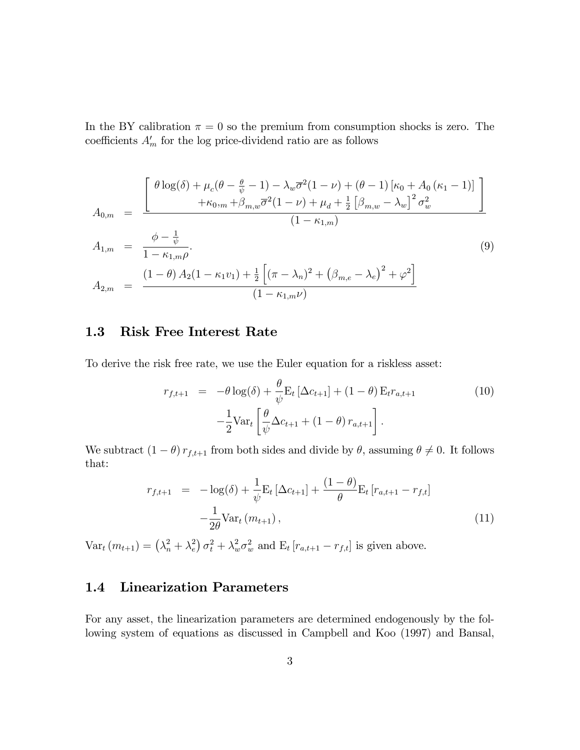In the BY calibration  $\pi = 0$  so the premium from consumption shocks is zero. The coefficients  $A'_m$  for the log price-dividend ratio are as follows

$$
A_{0,m} = \frac{\left[\begin{array}{c} \theta \log(\delta) + \mu_c(\theta - \frac{\theta}{\psi} - 1) - \lambda_w \overline{\sigma}^2 (1 - \nu) + (\theta - 1) \left[ \kappa_0 + A_0 \left( \kappa_1 - 1 \right) \right] \right. \\ \left. + \kappa_{0,m} + \beta_{m,w} \overline{\sigma}^2 (1 - \nu) + \mu_d + \frac{1}{2} \left[ \beta_{m,w} - \lambda_w \right]^2 \sigma_w^2 \right. \\ \left. (1 - \kappa_{1,m}) \right. \\ A_{1,m} = \frac{\phi - \frac{1}{\psi}}{1 - \kappa_{1,m}\rho}. \qquad (9) \\ A_{2,m} = \frac{(1 - \theta) A_2 (1 - \kappa_1 v_1) + \frac{1}{2} \left[ (\pi - \lambda_n)^2 + (\beta_{m,e} - \lambda_e)^2 + \varphi^2 \right]}{(1 - \kappa_{1,m}\nu)} \end{array}
$$

#### 1.3 Risk Free Interest Rate

To derive the risk free rate, we use the Euler equation for a riskless asset:

$$
r_{f,t+1} = -\theta \log(\delta) + \frac{\theta}{\psi} \mathbf{E}_t \left[ \Delta c_{t+1} \right] + (1 - \theta) \mathbf{E}_t r_{a,t+1}
$$
  

$$
- \frac{1}{2} \text{Var}_t \left[ \frac{\theta}{\psi} \Delta c_{t+1} + (1 - \theta) r_{a,t+1} \right].
$$
 (10)

We subtract  $(1 - \theta) r_{f,t+1}$  from both sides and divide by  $\theta$ , assuming  $\theta \neq 0$ . It follows that:

$$
r_{f,t+1} = -\log(\delta) + \frac{1}{\psi} \mathbf{E}_t \left[ \Delta c_{t+1} \right] + \frac{(1-\theta)}{\theta} \mathbf{E}_t \left[ r_{a,t+1} - r_{f,t} \right] - \frac{1}{2\theta} \text{Var}_t \left( m_{t+1} \right), \tag{11}
$$

 $Var_t(m_{t+1}) = (\lambda_n^2 + \lambda_e^2)$  $\int_e^2 \rho_t^2 + \lambda_w^2 \sigma_w^2$  and  $E_t \left[ r_{a,t+1} - r_{f,t} \right]$  is given above.

# 1.4 Linearization Parameters

For any asset, the linearization parameters are determined endogenously by the following system of equations as discussed in Campbell and Koo (1997) and Bansal,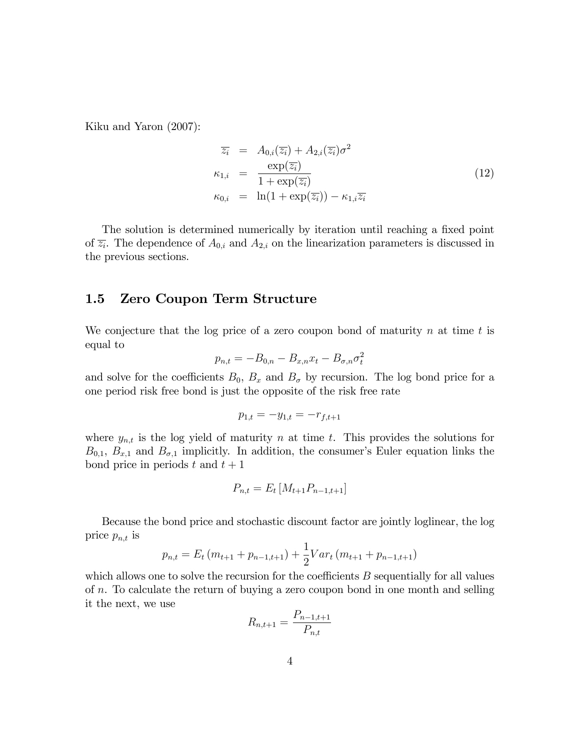Kiku and Yaron (2007):

$$
\overline{z_i} = A_{0,i}(\overline{z_i}) + A_{2,i}(\overline{z_i})\sigma^2
$$
  
\n
$$
\kappa_{1,i} = \frac{\exp(\overline{z_i})}{1 + \exp(\overline{z_i})}
$$
  
\n
$$
\kappa_{0,i} = \ln(1 + \exp(\overline{z_i})) - \kappa_{1,i}\overline{z_i}
$$
\n(12)

The solution is determined numerically by iteration until reaching a fixed point of  $\overline{z_i}$ . The dependence of  $A_{0,i}$  and  $A_{2,i}$  on the linearization parameters is discussed in the previous sections.

### 1.5 Zero Coupon Term Structure

We conjecture that the log price of a zero coupon bond of maturity n at time t is equal to

$$
p_{n,t} = -B_{0,n} - B_{x,n}x_t - B_{\sigma,n}\sigma_t^2
$$

and solve for the coefficients  $B_0$ ,  $B_x$  and  $B_{\sigma}$  by recursion. The log bond price for a one period risk free bond is just the opposite of the risk free rate

$$
p_{1,t} = -y_{1,t} = -r_{f,t+1}
$$

where  $y_{n,t}$  is the log yield of maturity n at time t. This provides the solutions for  $B_{0,1}, B_{x,1}$  and  $B_{\sigma,1}$  implicitly. In addition, the consumer's Euler equation links the bond price in periods t and  $t + 1$ 

$$
P_{n,t} = E_t \left[ M_{t+1} P_{n-1,t+1} \right]
$$

Because the bond price and stochastic discount factor are jointly loglinear, the log price  $p_{n,t}$  is

$$
p_{n,t} = E_t (m_{t+1} + p_{n-1,t+1}) + \frac{1}{2} Var_t (m_{t+1} + p_{n-1,t+1})
$$

which allows one to solve the recursion for the coefficients  $B$  sequentially for all values of n. To calculate the return of buying a zero coupon bond in one month and selling it the next, we use

$$
R_{n,t+1} = \frac{P_{n-1,t+1}}{P_{n,t}}
$$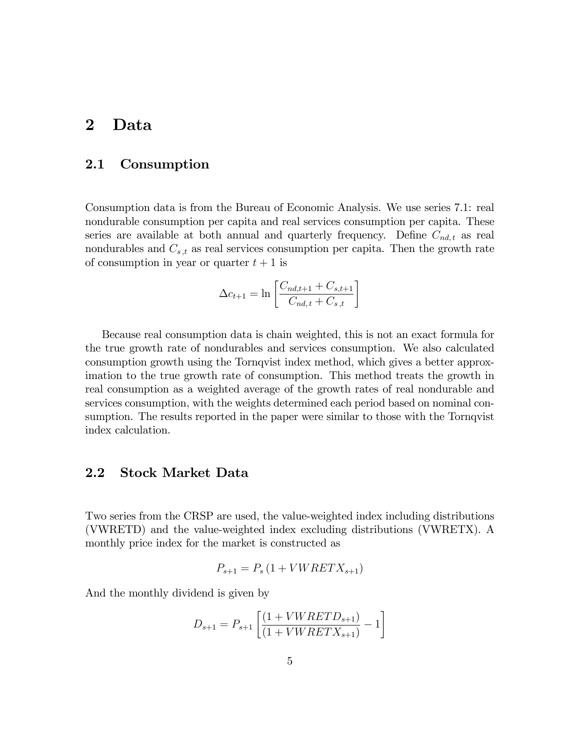# 2 Data

#### 2.1 Consumption

Consumption data is from the Bureau of Economic Analysis. We use series 7.1: real nondurable consumption per capita and real services consumption per capita. These series are available at both annual and quarterly frequency. Define  $C_{nd,t}$  as real nondurables and  $C_{s,t}$  as real services consumption per capita. Then the growth rate of consumption in year or quarter  $t + 1$  is

$$
\Delta c_{t+1} = \ln \left[ \frac{C_{nd,t+1} + C_{s,t+1}}{C_{nd,t} + C_{s,t}} \right]
$$

Because real consumption data is chain weighted, this is not an exact formula for the true growth rate of nondurables and services consumption. We also calculated consumption growth using the Tornqvist index method, which gives a better approximation to the true growth rate of consumption. This method treats the growth in real consumption as a weighted average of the growth rates of real nondurable and services consumption, with the weights determined each period based on nominal consumption. The results reported in the paper were similar to those with the Tornqvist index calculation.

#### 2.2 Stock Market Data

Two series from the CRSP are used, the value-weighted index including distributions (VWRETD) and the value-weighted index excluding distributions (VWRETX). A monthly price index for the market is constructed as

$$
P_{s+1} = P_s \left( 1 + VWERTX_{s+1} \right)
$$

And the monthly dividend is given by

$$
D_{s+1} = P_{s+1} \left[ \frac{(1 + VWRETD_{s+1})}{(1 + VWRETX_{s+1})} - 1 \right]
$$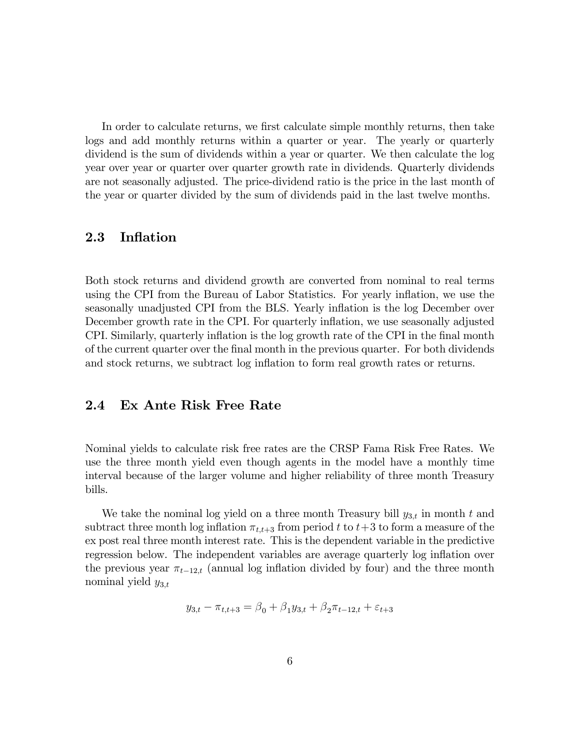In order to calculate returns, we first calculate simple monthly returns, then take logs and add monthly returns within a quarter or year. The yearly or quarterly dividend is the sum of dividends within a year or quarter. We then calculate the log year over year or quarter over quarter growth rate in dividends. Quarterly dividends are not seasonally adjusted. The price-dividend ratio is the price in the last month of the year or quarter divided by the sum of dividends paid in the last twelve months.

#### 2.3 Inflation

Both stock returns and dividend growth are converted from nominal to real terms using the CPI from the Bureau of Labor Statistics. For yearly inflation, we use the seasonally unadjusted CPI from the BLS. Yearly inflation is the log December over December growth rate in the CPI. For quarterly inflation, we use seasonally adjusted CPI. Similarly, quarterly inflation is the log growth rate of the CPI in the final month of the current quarter over the Önal month in the previous quarter. For both dividends and stock returns, we subtract log inflation to form real growth rates or returns.

#### 2.4 Ex Ante Risk Free Rate

Nominal yields to calculate risk free rates are the CRSP Fama Risk Free Rates. We use the three month yield even though agents in the model have a monthly time interval because of the larger volume and higher reliability of three month Treasury bills.

We take the nominal log yield on a three month Treasury bill  $y_{3,t}$  in month t and subtract three month log inflation  $\pi_{t,t+3}$  from period t to  $t+3$  to form a measure of the ex post real three month interest rate. This is the dependent variable in the predictive regression below. The independent variables are average quarterly log inflation over the previous year  $\pi_{t-12,t}$  (annual log inflation divided by four) and the three month nominal yield  $y_{3,t}$ 

$$
y_{3,t} - \pi_{t,t+3} = \beta_0 + \beta_1 y_{3,t} + \beta_2 \pi_{t-12,t} + \varepsilon_{t+3}
$$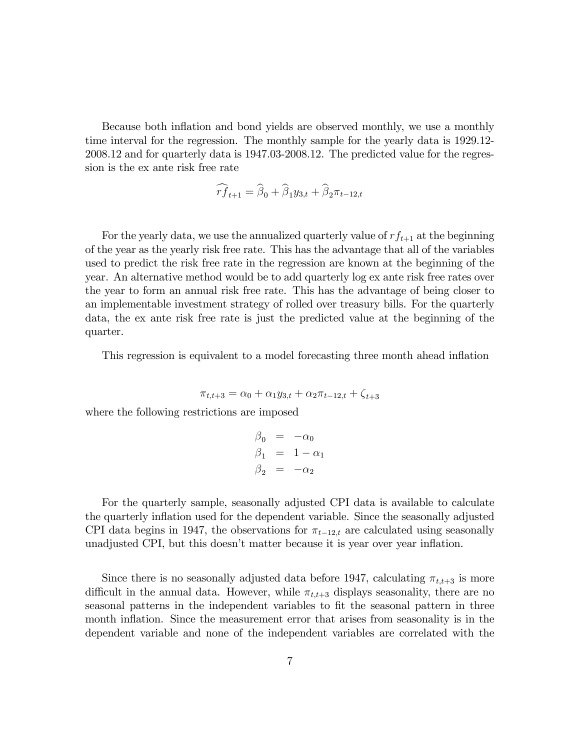Because both inflation and bond yields are observed monthly, we use a monthly time interval for the regression. The monthly sample for the yearly data is 1929.12- 2008.12 and for quarterly data is 1947.03-2008.12. The predicted value for the regression is the ex ante risk free rate

$$
\widehat{rf}_{t+1} = \widehat{\boldsymbol{\beta}}_0 + \widehat{\boldsymbol{\beta}}_1 y_{3,t} + \widehat{\boldsymbol{\beta}}_2 \pi_{t-12,t}
$$

For the yearly data, we use the annualized quarterly value of  $rf_{t+1}$  at the beginning of the year as the yearly risk free rate. This has the advantage that all of the variables used to predict the risk free rate in the regression are known at the beginning of the year. An alternative method would be to add quarterly log ex ante risk free rates over the year to form an annual risk free rate. This has the advantage of being closer to an implementable investment strategy of rolled over treasury bills. For the quarterly data, the ex ante risk free rate is just the predicted value at the beginning of the quarter.

This regression is equivalent to a model forecasting three month ahead inflation

$$
\pi_{t,t+3} = \alpha_0 + \alpha_1 y_{3,t} + \alpha_2 \pi_{t-12,t} + \zeta_{t+3}
$$

where the following restrictions are imposed

$$
\begin{array}{rcl}\n\beta_0 &=& -\alpha_0 \\
\beta_1 &=& 1 - \alpha_1 \\
\beta_2 &=& -\alpha_2\n\end{array}
$$

For the quarterly sample, seasonally adjusted CPI data is available to calculate the quarterly ináation used for the dependent variable. Since the seasonally adjusted CPI data begins in 1947, the observations for  $\pi_{t-12,t}$  are calculated using seasonally unadjusted CPI, but this doesn't matter because it is year over year inflation.

Since there is no seasonally adjusted data before 1947, calculating  $\pi_{t,t+3}$  is more difficult in the annual data. However, while  $\pi_{t,t+3}$  displays seasonality, there are no seasonal patterns in the independent variables to fit the seasonal pattern in three month inflation. Since the measurement error that arises from seasonality is in the dependent variable and none of the independent variables are correlated with the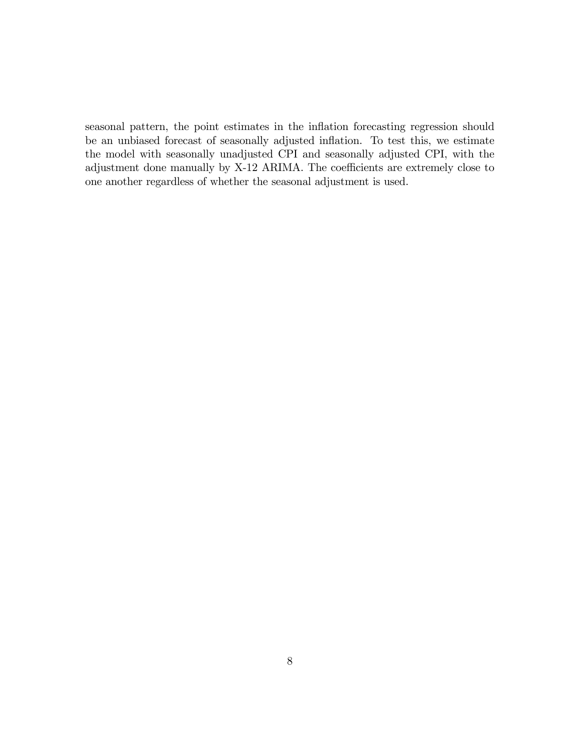seasonal pattern, the point estimates in the inflation forecasting regression should be an unbiased forecast of seasonally adjusted inflation. To test this, we estimate the model with seasonally unadjusted CPI and seasonally adjusted CPI, with the adjustment done manually by  $X-12$  ARIMA. The coefficients are extremely close to one another regardless of whether the seasonal adjustment is used.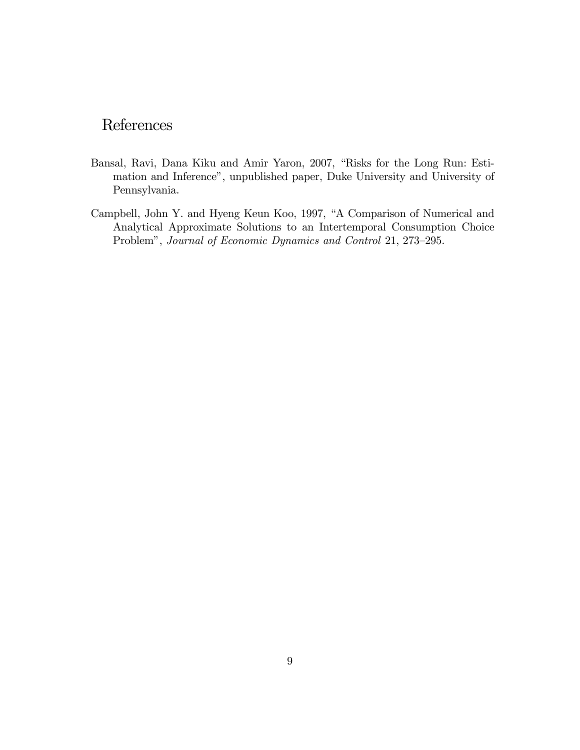# References

- Bansal, Ravi, Dana Kiku and Amir Yaron, 2007, "Risks for the Long Run: Estimation and Inference", unpublished paper, Duke University and University of Pennsylvania.
- Campbell, John Y. and Hyeng Keun Koo, 1997, "A Comparison of Numerical and Analytical Approximate Solutions to an Intertemporal Consumption Choice Problem", Journal of Economic Dynamics and Control 21, 273-295.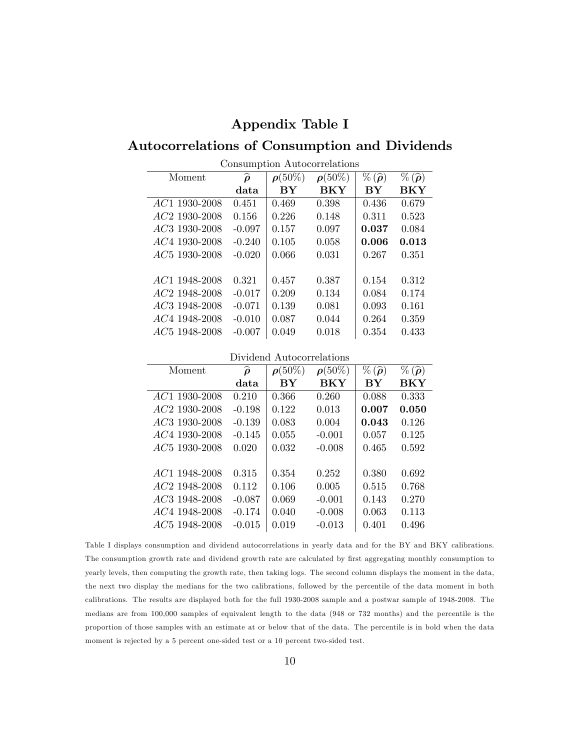### Appendix Table I

# Autocorrelations of Consumption and Dividends

| Moment                           | $\widehat{\boldsymbol{\rho}}$ | $\rho(50\%)$ | $\rho(50\%)$ | $\%(\widehat{\boldsymbol{\rho}})$ | $\%(\widehat{\boldsymbol{\rho}})$ |
|----------------------------------|-------------------------------|--------------|--------------|-----------------------------------|-----------------------------------|
|                                  | data                          | BY           | <b>BKY</b>   | BY                                | BKY                               |
| <i>AC</i> 1 1930-2008            | 0.451                         | 0.469        | 0.398        | 0.436                             | 0.679                             |
| <i>AC</i> 2 1930-2008            | 0.156                         | 0.226        | 0.148        | 0.311                             | 0.523                             |
| <i>AC</i> 3 1930-2008            | $-0.097$                      | 0.157        | 0.097        | 0.037                             | 0.084                             |
| <i>AC</i> 4 1930-2008            | $-0.240$                      | 0.105        | 0.058        | 0.006                             | 0.013                             |
| <i>AC</i> <sup>5</sup> 1930-2008 | $-0.020$                      | 0.066        | 0.031        | 0.267                             | 0.351                             |
|                                  |                               |              |              |                                   |                                   |
| AC1 1948-2008                    | 0.321                         | 0.457        | 0.387        | 0.154                             | 0.312                             |
| <i>AC</i> 2 1948-2008            | $-0.017$                      | 0.209        | 0.134        | 0.084                             | 0.174                             |
| <i>AC</i> 3 1948-2008            | $-0.071$                      | 0.139        | 0.081        | 0.093                             | 0.161                             |
| <i>AC</i> 4 1948-2008            | $-0.010$                      | 0.087        | 0.044        | 0.264                             | 0.359                             |
| AC <sub>5</sub> 1948-2008        | $-0.007$                      | 0.049        | 0.018        | 0.354                             | 0.433                             |
|                                  |                               |              |              |                                   |                                   |

Consumption Autocorrelations

Dividend Autocorrelations

| Moment                           | $\widehat{\boldsymbol{\rho}}$ | $\rho(50\%)$ | $\rho(50\%)$ | $\%(\widehat{\boldsymbol{\rho}})$ | $\%(\widehat{\boldsymbol{\rho}})$ |
|----------------------------------|-------------------------------|--------------|--------------|-----------------------------------|-----------------------------------|
|                                  | data                          | BY           | <b>BKY</b>   | BY                                | BKY                               |
| AC1 1930-2008                    | 0.210                         | 0.366        | 0.260        | 0.088                             | 0.333                             |
| <i>AC</i> 2 1930-2008            | $-0.198$                      | 0.122        | 0.013        | 0.007                             | 0.050                             |
| <i>AC</i> 3 1930-2008            | $-0.139$                      | 0.083        | 0.004        | 0.043                             | 0.126                             |
| <i>AC</i> 4 1930-2008            | $-0.145$                      | 0.055        | $-0.001$     | 0.057                             | 0.125                             |
| <i>AC</i> <sup>5</sup> 1930-2008 | 0.020                         | 0.032        | $-0.008$     | 0.465                             | 0.592                             |
|                                  |                               |              |              |                                   |                                   |
| <i>AC</i> 1 1948-2008            | 0.315                         | 0.354        | 0.252        | 0.380                             | 0.692                             |
| $AC2$ 1948-2008                  | 0.112                         | 0.106        | 0.005        | 0.515                             | 0.768                             |
| <i>AC3</i> 1948-2008             | $-0.087$                      | 0.069        | $-0.001$     | 0.143                             | 0.270                             |
| <i>AC</i> 4 1948-2008            | $-0.174$                      | 0.040        | $-0.008$     | 0.063                             | 0.113                             |
| $AC5$ 1948-2008                  | $-0.015$                      | 0.019        | $-0.013$     | 0.401                             | 0.496                             |

Table I displays consumption and dividend autocorrelations in yearly data and for the BY and BKY calibrations. The consumption growth rate and dividend growth rate are calculated by first aggregating monthly consumption to yearly levels, then computing the growth rate, then taking logs. The second column displays the moment in the data, the next two display the medians for the two calibrations, followed by the percentile of the data moment in both calibrations. The results are displayed both for the full 1930-2008 sample and a postwar sample of 1948-2008. The medians are from 100,000 samples of equivalent length to the data (948 or 732 months) and the percentile is the proportion of those samples with an estimate at or below that of the data. The percentile is in bold when the data moment is rejected by a 5 percent one-sided test or a 10 percent two-sided test.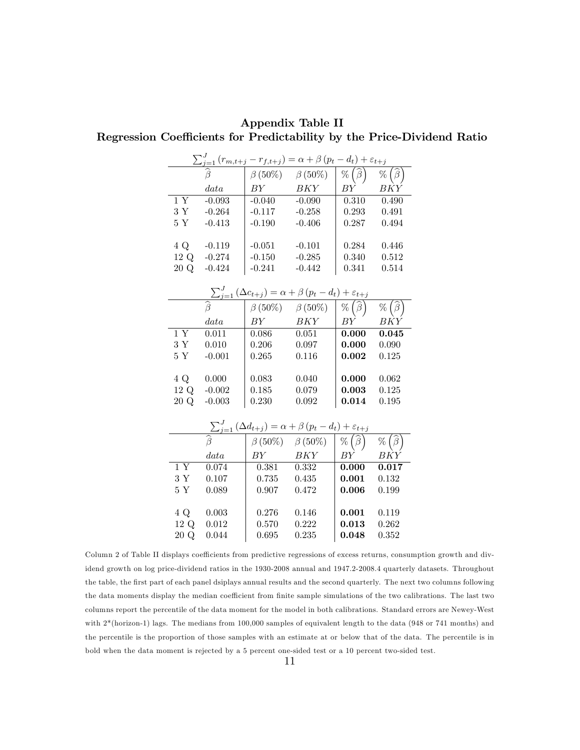|                 |          |               | $\sum_{j=1}^{J} (r_{m,t+j} - r_{f,t+j}) = \alpha + \beta (p_t - d_t) + \varepsilon_{t+j}$        |                           |                  |
|-----------------|----------|---------------|--------------------------------------------------------------------------------------------------|---------------------------|------------------|
|                 |          | $\beta(50\%)$ | $\beta(50\%)$                                                                                    | $\%$ ( $\beta$            | $\%$<br>$(\beta$ |
|                 | data     | BY            | BKY                                                                                              | BY                        | <b>BKY</b>       |
| 1Y              | $-0.093$ | $-0.040$      | $-0.090$                                                                                         | 0.310                     | 0.490            |
| $3\ \mathrm{Y}$ | $-0.264$ | $-0.117$      | $-0.258$                                                                                         | 0.293                     | 0.491            |
| $5Y$            | $-0.413$ | $-0.190$      | $-0.406$                                                                                         | 0.287                     | 0.494            |
|                 |          |               |                                                                                                  |                           |                  |
| 4 Q             | $-0.119$ | $-0.051$      | $-0.101$                                                                                         | 0.284                     | 0.446            |
| 12Q             | $-0.274$ | $-0.150$      | $-0.285$                                                                                         | 0.340                     | 0.512            |
| 20 Q            | $-0.424$ | $-0.241$      | $-0.442$                                                                                         | 0.341                     | 0.514            |
|                 |          |               |                                                                                                  |                           |                  |
|                 |          |               | $\frac{\sum_{j=1}^{J} (\Delta c_{t+j}) = \alpha + \beta (p_t - d_t) + \varepsilon_{t+j}}{\beta}$ |                           |                  |
|                 |          |               | $\beta(50\%) \quad \beta(50\%)$                                                                  | $\%$                      | $\%$<br>$\beta$  |
|                 | data     | BY            | BKY                                                                                              | ΒY                        | <b>BKY</b>       |
| $\overline{1Y}$ | 0.011    | 0.086         | 0.051                                                                                            | 0.000                     | 0.045            |
| $3\ \mathrm{Y}$ | 0.010    | 0.206         | 0.097                                                                                            | 0.000                     | 0.090            |
| $5\ \mathrm{Y}$ | $-0.001$ | 0.265         | 0.116                                                                                            | 0.002                     | 0.125            |
|                 |          |               |                                                                                                  |                           |                  |
| 4 Q             | 0.000    | 0.083         | 0.040                                                                                            | 0.000                     | 0.062            |
| 12 Q            | $-0.002$ | 0.185         | 0.079                                                                                            | 0.003                     | 0.125            |
| 20 Q            | $-0.003$ | 0.230         | 0.092                                                                                            | 0.014                     | 0.195            |
|                 |          |               |                                                                                                  |                           |                  |
|                 |          |               | $\sum_{j=1}^{J} (\Delta d_{t+j}) = \alpha + \beta (p_t - d_t) + \varepsilon_{t+j}$               |                           |                  |
|                 |          |               | $\beta(50\%) \quad \beta(50\%)$                                                                  | $\widehat{\beta}$<br>$\%$ | %                |
|                 | data     | BY            | BKY                                                                                              | BY                        | ΒKΥ              |
| 1Y              | 0.074    | 0.381         | 0.332                                                                                            | 0.000                     | 0.017            |
| $3\ \mathrm{Y}$ | 0.107    | 0.735         | 0.435                                                                                            | 0.001                     | 0.132            |
| 5Y              | 0.089    | 0.907         | 0.472                                                                                            | 0.006                     | 0.199            |
|                 |          |               |                                                                                                  |                           |                  |
| 4 Q             | 0.003    | 0.276         | 0.146                                                                                            | 0.001                     | 0.119            |
| 12 Q            | 0.012    | 0.570         | 0.222                                                                                            | 0.013                     | 0.262            |
| 20 Q            | 0.044    | 0.695         | 0.235                                                                                            | 0.048                     | 0.352            |

Appendix Table II Regression Coefficients for Predictability by the Price-Dividend Ratio

Column 2 of Table II displays coefficients from predictive regressions of excess returns, consumption growth and dividend growth on log price-dividend ratios in the 1930-2008 annual and 1947.2-2008.4 quarterly datasets. Throughout the table, the first part of each panel dsiplays annual results and the second quarterly. The next two columns following the data moments display the median coefficient from finite sample simulations of the two calibrations. The last two columns report the percentile of the data moment for the model in both calibrations. Standard errors are Newey-West with 2\*(horizon-1) lags. The medians from 100,000 samples of equivalent length to the data (948 or 741 months) and the percentile is the proportion of those samples with an estimate at or below that of the data. The percentile is in bold when the data moment is rejected by a 5 percent one-sided test or a 10 percent two-sided test.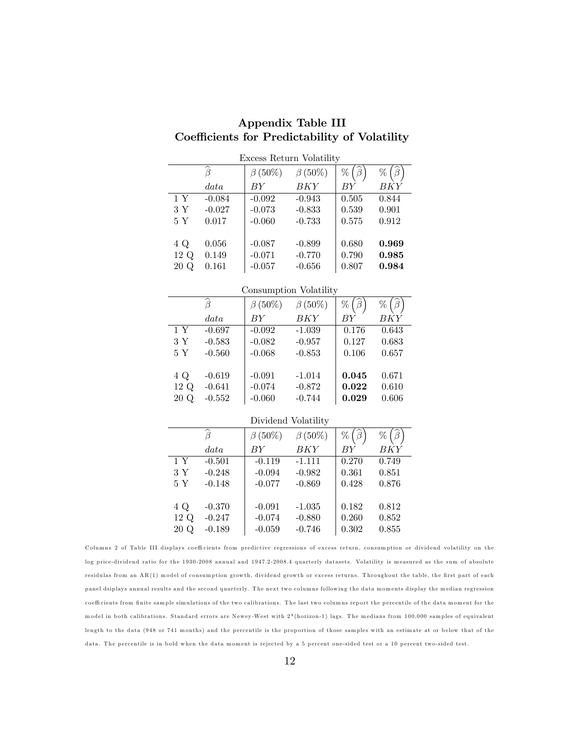| Excess Return Volatility |                   |               |                        |       |        |  |  |
|--------------------------|-------------------|---------------|------------------------|-------|--------|--|--|
|                          | $\widehat{\beta}$ | $\beta(50\%)$ | $\beta(50\%)$          | %     | $\%$   |  |  |
|                          | data              | BY            | BKY                    | BY    | BKY    |  |  |
| 1 Y                      | $-0.084$          | $-0.092$      | $-0.943$               | 0.505 | 0.844  |  |  |
| 3 Y                      | $-0.027$          | $-0.073$      | $-0.833$               | 0.539 | 0.901  |  |  |
| 5 Y                      | 0.017             | $-0.060$      | $-0.733$               | 0.575 | 0.912  |  |  |
|                          |                   |               |                        |       |        |  |  |
| 4 Q                      | 0.056             | $-0.087$      | $-0.899$               | 0.680 | 0.969  |  |  |
| 12 Q                     | 0.149             | $-0.071$      | $-0.770$               | 0.790 | 0.985  |  |  |
| 20 Q                     | 0.161             | $-0.057$      | $-0.656$               | 0.807 | 0.984  |  |  |
|                          |                   |               |                        |       |        |  |  |
|                          |                   |               | Consumption Volatility |       |        |  |  |
|                          | $\widehat{\beta}$ | $\beta(50\%)$ | $\beta$ (50%)          | %     | %<br>β |  |  |

Appendix Table III Coefficients for Predictability of Volatility

|      |                   |               | Consumption volatility |                                     |                           |
|------|-------------------|---------------|------------------------|-------------------------------------|---------------------------|
|      | $\widehat{\beta}$ | $\beta(50\%)$ | $\beta$ (50%)          | $\widehat{\boldsymbol{\beta}}$<br>% | $\widehat{\beta}$<br>$\%$ |
|      | data              | BY            | BKY                    | ВY                                  | <b>BKY</b>                |
| 1Y   | $-0.697$          | $-0.092$      | $-1.039$               | 0.176                               | 0.643                     |
| 3Y   | $-0.583$          | $-0.082$      | $-0.957$               | 0.127                               | 0.683                     |
| 5 Y  | $-0.560$          | $-0.068$      | $-0.853$               | 0.106                               | 0.657                     |
|      |                   |               |                        |                                     |                           |
| 4 Q  | $-0.619$          | $-0.091$      | $-1.014$               | 0.045                               | 0.671                     |
| 12 Q | $-0.641$          | $-0.074$      | $-0.872$               | 0.022                               | 0.610                     |
| 20 Q | $-0.552$          | $-0.060$      | $-0.744$               | 0.029                               | 0.606                     |

Dividend Volatility

|      | $\widehat{\beta}$ | $\beta(50\%)$ | $\beta(50\%)$ | %     | %     |
|------|-------------------|---------------|---------------|-------|-------|
|      | data              | BY            | <b>BKY</b>    | BY    | BKY   |
| 1Y   | $-0.501$          | $-0.119$      | $-1.111$      | 0.270 | 0.749 |
| 3Y   | $-0.248$          | $-0.094$      | $-0.982$      | 0.361 | 0.851 |
| 5 Y  | $-0.148$          | $-0.077$      | $-0.869$      | 0.428 | 0.876 |
|      |                   |               |               |       |       |
| 4 Q  | $-0.370$          | $-0.091$      | $-1.035$      | 0.182 | 0.812 |
| 12 Q | $-0.247$          | $-0.074$      | $-0.880$      | 0.260 | 0.852 |
| 20 Q | $-0.189$          | $-0.059$      | $-0.746$      | 0.302 | 0.855 |
|      |                   |               |               |       |       |

Columns 2 of Table III displays coefficients from predictive regressions of excess return, consumption or dividend volatility on the log price-dividend ratio for the 1930-2008 annual and 1947.2-2008.4 quarterly datasets. Volatility is measured as the sum of absolute residulas from an AR(1) model of consumption growth, dividend growth or excess returns. Throughout the table, the first part of each panel dsiplays annual results and the second quarterly. The next two columns following the data moments display the median regression coefficients from finite sample simulations of the two calibrations. The last two columns report the percentile of the data moment for the model in both calibrations. Standard errors are Newey-West with  $2*($ horizon-1) lags. The medians from 100,000 samples of equivalent length to the data (948 or 741 months) and the percentile is the proportion of those samples with an estimate at or below that of the data. The percentile is in bold when the data moment is rejected by a 5 percent one-sided test or a 10 percent two-sided test.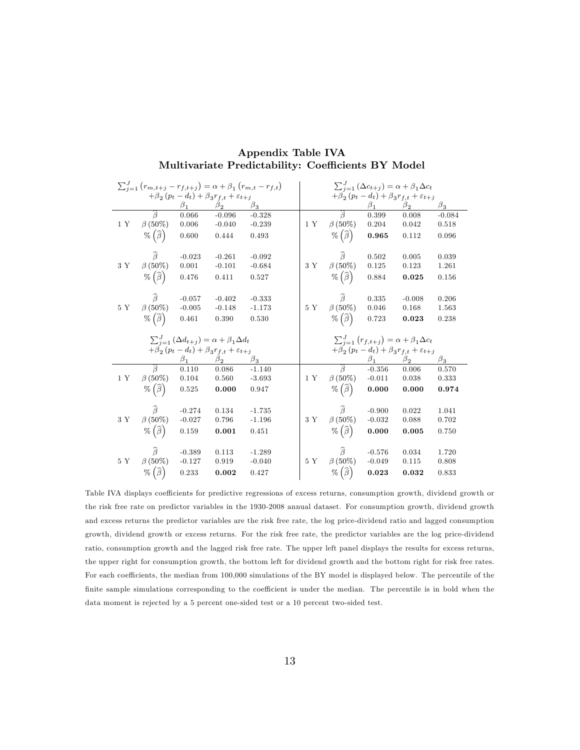|                |                                           |             |                                                                   | $\sum_{j=1}^{J} (r_{m,t+j} - r_{f,t+j}) = \alpha + \beta_1 (r_{m,t} - r_{f,t})$ |         |                                           |           | $\sum_{j=1}^{J} (\Delta c_{t+j}) = \alpha + \beta_1 \Delta c_t$   |           |
|----------------|-------------------------------------------|-------------|-------------------------------------------------------------------|---------------------------------------------------------------------------------|---------|-------------------------------------------|-----------|-------------------------------------------------------------------|-----------|
|                |                                           |             | $+\beta_2(p_t-d_t)+\beta_3r_{f,t}+\varepsilon_{t+j}$              |                                                                                 |         |                                           |           | $+\beta_2 (p_t - d_t) + \beta_3 r_{f,t} + \varepsilon_{t+j}$      |           |
|                |                                           | $\beta_1$   | $\beta_2$                                                         | $\beta_3$                                                                       |         |                                           | $\beta_1$ | $\beta_2$                                                         | $\beta_3$ |
|                | $\widehat{\beta}$                         | 0.066       | $-0.096$                                                          | $-0.328$                                                                        |         | $\widehat{\beta}$                         | 0.399     | 0.008                                                             | $-0.084$  |
| 1Y             | $\beta(50\%)$                             | 0.006       | $-0.040$                                                          | $-0.239$                                                                        | 1Y      | $\beta(50\%)$                             | 0.204     | 0.042                                                             | 0.518     |
|                | $\%(\widehat{\beta})$                     | 0.600       | 0.444                                                             | 0.493                                                                           |         | $\%(\widehat{\beta})$                     | 0.965     | 0.112                                                             | 0.096     |
|                |                                           |             |                                                                   |                                                                                 |         |                                           |           |                                                                   |           |
|                | $\widehat{\beta}$                         | $-0.023$    | $-0.261$                                                          | $-0.092$                                                                        |         | $\widehat{\beta}$                         | 0.502     | 0.005                                                             | 0.039     |
| 3 Y            | $\beta(50\%)$                             | 0.001       | $-0.101$                                                          | $-0.684$                                                                        | 3 Y     | $\beta(50\%)$                             | 0.125     | 0.123                                                             | 1.261     |
|                | $\%(\widehat{\beta})$                     | 0.476       | 0.411                                                             | 0.527                                                                           |         | $\%(\widehat{\beta})$                     | 0.884     | 0.025                                                             | 0.156     |
|                |                                           |             |                                                                   |                                                                                 |         |                                           |           |                                                                   |           |
|                | $\widehat{\beta}$                         | $-0.057$    | $-0.402$                                                          | $-0.333$                                                                        |         | $\widehat{\boldsymbol{\beta}}$            | 0.335     | $-0.008$                                                          | 0.206     |
| $5Y$           | $\beta(50\%)$                             | $-0.005$    | $-0.148$                                                          | $-1.173$                                                                        | 5Y      | $\beta(50\%)$                             | 0.046     | 0.168                                                             | 1.563     |
|                | $\%(\widehat{\beta})$                     | 0.461       | 0.390                                                             | 0.530                                                                           |         | $\%(\widehat{\beta})$                     | 0.723     | 0.023                                                             | 0.238     |
|                |                                           |             |                                                                   |                                                                                 |         |                                           |           |                                                                   |           |
|                |                                           |             |                                                                   |                                                                                 |         |                                           |           |                                                                   |           |
|                |                                           |             | $\sum_{i=1}^{J} (\Delta d_{t+j}) = \alpha + \beta_1 \Delta d_t$   |                                                                                 |         |                                           |           | $\sum_{j=1}^{J} (r_{f,t+j}) = \alpha + \beta_1 \Delta c_t$        |           |
|                |                                           | $\beta_{1}$ | $+\beta_2(p_t-d_t)+\beta_3r_{f,t}+\varepsilon_{t+j}$<br>$\beta_2$ | $\beta_3$                                                                       |         |                                           | $\beta_1$ | $+\beta_2(p_t-d_t)+\beta_3r_{f,t}+\varepsilon_{t+j}$<br>$\beta_2$ | $\beta_3$ |
|                | $\widehat{\beta}$                         | 0.110       | 0.086                                                             | $-1.140$                                                                        |         | $\widehat{\beta}$                         | $-0.356$  | 0.006                                                             | 0.570     |
| $1~\mathrm{Y}$ | $\beta$ (50%)                             | 0.104       | 0.560                                                             | $-3.693$                                                                        | 1Y      | $\beta$ (50%)                             | $-0.011$  | 0.038                                                             | 0.333     |
|                | $\%(\widehat{\beta})$                     | 0.525       | 0.000                                                             | 0.947                                                                           |         | $\%(\widehat{\beta})$                     | 0.000     | 0.000                                                             | 0.974     |
|                |                                           |             |                                                                   |                                                                                 |         |                                           |           |                                                                   |           |
|                | $\widehat{\beta}$                         | $-0.274$    | 0.134                                                             | $-1.735$                                                                        |         | $\widehat{\boldsymbol{\beta}}$            | $-0.900$  | 0.022                                                             | 1.041     |
| 3Y             | $\beta(50\%)$                             | $-0.027$    | 0.796                                                             | $-1.196$                                                                        | $3\,$ Y | $\beta(50\%)$                             | $-0.032$  | 0.088                                                             | 0.702     |
|                | $\%(\widehat{\beta})$                     | 0.159       | 0.001                                                             | 0.451                                                                           |         | $\%(\widehat{\beta})$                     | 0.000     | 0.005                                                             | 0.750     |
|                |                                           |             |                                                                   |                                                                                 |         |                                           |           |                                                                   |           |
|                | $\widehat{\beta}$                         | $-0.389$    | 0.113                                                             | $-1.289$                                                                        |         | $\widehat{\beta}$                         | $-0.576$  | 0.034                                                             | 1.720     |
| $5Y$           | $\beta$ (50%)<br>$\%$ $(\widehat{\beta})$ | $-0.127$    | 0.919                                                             | $-0.040$                                                                        | 5Y      | $\beta$ (50%)<br>$\%$ $(\widehat{\beta})$ | $-0.049$  | 0.115                                                             | 0.808     |

#### Appendix Table IVA Multivariate Predictability: Coefficients BY Model

Table IVA displays coefficients for predictive regressions of excess returns, consumption growth, dividend growth or the risk free rate on predictor variables in the 1930-2008 annual dataset. For consumption growth, dividend growth and excess returns the predictor variables are the risk free rate, the log price-dividend ratio and lagged consumption growth, dividend growth or excess returns. For the risk free rate, the predictor variables are the log price-dividend ratio, consumption growth and the lagged risk free rate. The upper left panel displays the results for excess returns, the upper right for consumption growth, the bottom left for dividend growth and the bottom right for risk free rates. For each coefficients, the median from 100,000 simulations of the BY model is displayed below. The percentile of the finite sample simulations corresponding to the coefficient is under the median. The percentile is in bold when the data moment is rejected by a 5 percent one-sided test or a 10 percent two-sided test.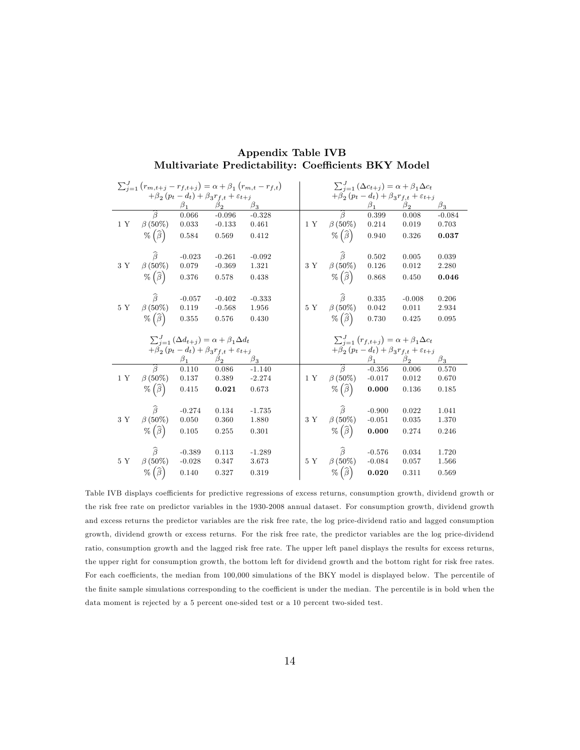|                |                       |             |                                                                 | $\sum_{j=1}^{J} (r_{m,t+j} - r_{f,t+j}) = \alpha + \beta_1 (r_{m,t} - r_{f,t})$ |                 |                                |           | $\sum_{j=1}^{J} (\Delta c_{t+j}) = \alpha + \beta_1 \Delta c_t$ |           |
|----------------|-----------------------|-------------|-----------------------------------------------------------------|---------------------------------------------------------------------------------|-----------------|--------------------------------|-----------|-----------------------------------------------------------------|-----------|
|                |                       |             | $+\beta_2(p_t-d_t)+\beta_3r_{f,t}+\varepsilon_{t+j}$            |                                                                                 |                 |                                |           | $+\beta_2 (p_t - d_t) + \beta_3 r_{f,t} + \varepsilon_{t+j}$    |           |
|                |                       | $\beta_1$   | $\beta_2$                                                       | $\beta_3$                                                                       |                 |                                | $\beta_1$ | $\beta_2$                                                       | $\beta_3$ |
|                | $\widehat{\beta}$     | 0.066       | $-0.096$                                                        | $-0.328$                                                                        |                 | $\widehat{\beta}$              | 0.399     | 0.008                                                           | $-0.084$  |
| 1Y             | $\beta(50\%)$         | 0.033       | $-0.133$                                                        | 0.461                                                                           | 1Y              | $\beta(50\%)$                  | 0.214     | 0.019                                                           | 0.703     |
|                | $\%(\widehat{\beta})$ | 0.584       | 0.569                                                           | 0.412                                                                           |                 | $\%(\widehat{\beta})$          | 0.940     | 0.326                                                           | 0.037     |
|                |                       |             |                                                                 |                                                                                 |                 |                                |           |                                                                 |           |
|                | $\widehat{\beta}$     | $-0.023$    | $-0.261$                                                        | $-0.092$                                                                        |                 | $\widehat{\beta}$              | 0.502     | 0.005                                                           | 0.039     |
| 3 Y            | $\beta(50\%)$         | 0.079       | $-0.369$                                                        | 1.321                                                                           | 3 Y             | $\beta(50\%)$                  | 0.126     | 0.012                                                           | 2.280     |
|                | $\%(\widehat{\beta})$ | 0.376       | 0.578                                                           | 0.438                                                                           |                 | $\%(\widehat{\beta})$          | 0.868     | 0.450                                                           | 0.046     |
|                | $\widehat{\beta}$     | $-0.057$    | $-0.402$                                                        | $-0.333$                                                                        |                 | $\widehat{\boldsymbol{\beta}}$ | 0.335     | $-0.008$                                                        | 0.206     |
| $5Y$           | $\beta(50\%)$         | 0.119       | $-0.568$                                                        | 1.956                                                                           | 5Y              | $\beta(50\%)$                  | 0.042     | 0.011                                                           | 2.934     |
|                | $\%(\widehat{\beta})$ | 0.355       | 0.576                                                           | 0.430                                                                           |                 | $\%(\widehat{\beta})$          | 0.730     | 0.425                                                           | 0.095     |
|                |                       |             |                                                                 |                                                                                 |                 |                                |           |                                                                 |           |
|                |                       |             |                                                                 |                                                                                 |                 |                                |           |                                                                 |           |
|                |                       |             | $\sum_{i=1}^{J} (\Delta d_{t+j}) = \alpha + \beta_1 \Delta d_t$ |                                                                                 |                 |                                |           | $\sum_{j=1}^{J} (r_{f,t+j}) = \alpha + \beta_1 \Delta c_t$      |           |
|                |                       |             | $+\beta_2 (p_t - d_t) + \beta_3 r_{f,t} + \varepsilon_{t+j}$    |                                                                                 |                 |                                |           | $+\beta_2(p_t-d_t)+\beta_3r_{f,t}+\varepsilon_{t+j}$            |           |
|                |                       | $\beta_{1}$ | $\beta_2$                                                       | $\beta_3$                                                                       |                 |                                | $\beta_1$ | $\beta_2$                                                       | $\beta_3$ |
|                | $\widehat{\beta}$     | 0.110       | 0.086                                                           | $-1.140$                                                                        |                 | $\widehat{\beta}$              | $-0.356$  | 0.006                                                           | 0.570     |
| $1~\mathrm{Y}$ | $\beta$ (50%)         | 0.137       | 0.389                                                           | $-2.274$                                                                        | 1 Y             | $\beta$ (50%)                  | $-0.017$  | 0.012                                                           | 0.670     |
|                | $\%(\widehat{\beta})$ | 0.415       | 0.021                                                           | 0.673                                                                           |                 | $\%(\widehat{\beta})$          | 0.000     | 0.136                                                           | 0.185     |
|                |                       |             |                                                                 |                                                                                 |                 |                                |           |                                                                 |           |
|                | $\widehat{\beta}$     | $-0.274$    | 0.134                                                           | $-1.735$                                                                        |                 | $\widehat{\boldsymbol{\beta}}$ | $-0.900$  | 0.022                                                           | 1.041     |
| 3Y             | $\beta(50\%)$         | 0.050       | 0.360                                                           | 1.880                                                                           | $3\ \mathrm{Y}$ | $\beta(50\%)$                  | $-0.051$  | 0.035                                                           | 1.370     |
|                | $\%(\widehat{\beta})$ | 0.105       | 0.255                                                           | 0.301                                                                           |                 | $\%(\widehat{\beta})$          | 0.000     | 0.274                                                           | 0.246     |
|                | $\widehat{\beta}$     | $-0.389$    | 0.113                                                           | $-1.289$                                                                        |                 | $\widehat{\beta}$              | $-0.576$  | 0.034                                                           | 1.720     |
| $5Y$           | $\beta$ (50%)         | $-0.028$    | 0.347                                                           | 3.673                                                                           | 5Y              | $\beta(50\%)$                  | $-0.084$  | 0.057                                                           | 1.566     |

#### Appendix Table IVB Multivariate Predictability: Coefficients BKY Model

Table IVB displays coefficients for predictive regressions of excess returns, consumption growth, dividend growth or the risk free rate on predictor variables in the 1930-2008 annual dataset. For consumption growth, dividend growth and excess returns the predictor variables are the risk free rate, the log price-dividend ratio and lagged consumption growth, dividend growth or excess returns. For the risk free rate, the predictor variables are the log price-dividend ratio, consumption growth and the lagged risk free rate. The upper left panel displays the results for excess returns, the upper right for consumption growth, the bottom left for dividend growth and the bottom right for risk free rates. For each coefficients, the median from 100,000 simulations of the BKY model is displayed below. The percentile of the finite sample simulations corresponding to the coefficient is under the median. The percentile is in bold when the data moment is rejected by a 5 percent one-sided test or a 10 percent two-sided test.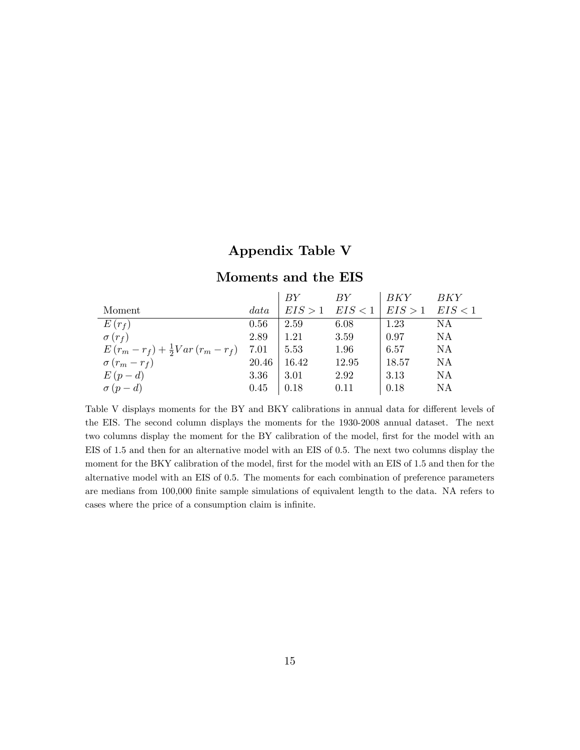# Appendix Table V

# Moments and the EIS

|                                            |       | BY      | BY      | BKY     | BKY       |
|--------------------------------------------|-------|---------|---------|---------|-----------|
| Moment                                     | data  | EIS > 1 | EIS < 1 | EIS > 1 | EIS < 1   |
| $E(r_f)$                                   | 0.56  | 2.59    | 6.08    | 1.23    | NA        |
| $\sigma(r_f)$                              | 2.89  | 1.21    | 3.59    | 0.97    | ΝA        |
| $E(r_m - r_f) + \frac{1}{2}Var(r_m - r_f)$ | 7.01  | 5.53    | 1.96    | 6.57    | <b>NA</b> |
| $\sigma(r_m-r_f)$                          | 20.46 | 16.42   | 12.95   | 18.57   | ΝA        |
| $E(p-d)$                                   | 3.36  | 3.01    | 2.92    | 3.13    | NA        |
| $\sigma(p-d)$                              | 0.45  | 0.18    | 0.11    | 0.18    | NA        |

Table V displays moments for the BY and BKY calibrations in annual data for different levels of the EIS. The second column displays the moments for the 1930-2008 annual dataset. The next two columns display the moment for the BY calibration of the model, first for the model with an EIS of 1.5 and then for an alternative model with an EIS of 0.5. The next two columns display the moment for the BKY calibration of the model, first for the model with an EIS of 1.5 and then for the alternative model with an EIS of 0.5. The moments for each combination of preference parameters are medians from 100,000 finite sample simulations of equivalent length to the data. NA refers to cases where the price of a consumption claim is infinite.